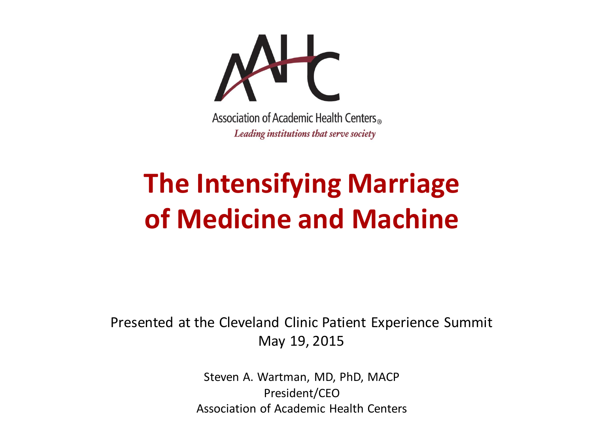

#### **The Intensifying Marriage of Medicine and Machine**

Presented at the Cleveland Clinic Patient Experience Summit May 19, 2015

> Steven A. Wartman, MD, PhD, MACP President/CEO Association of Academic Health Centers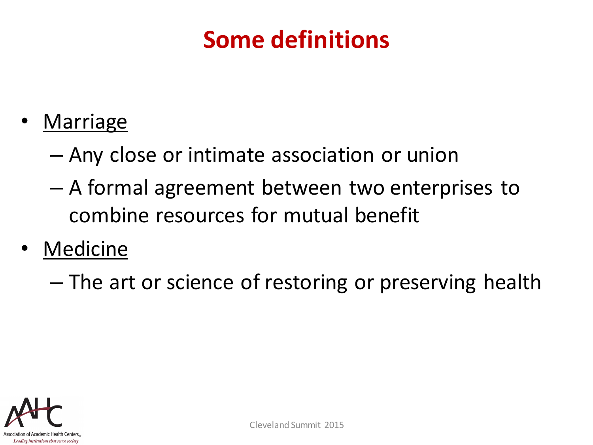#### **Some definitions**

- **Marriage** 
	- Any close or intimate association or union
	- A formal agreement between two enterprises to combine resources for mutual benefit
- **Medicine** 
	- The art or science of restoring or preserving health

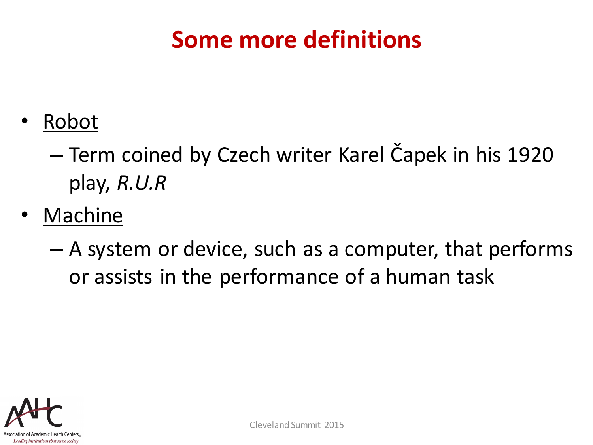#### **Some more definitions**

- Robot
	- Term coined by Czech writer Karel Čapek in his 1920 play, *R.U.R*
- **Machine** 
	- A system or device, such as a computer, that performs or assists in the performance of a human task

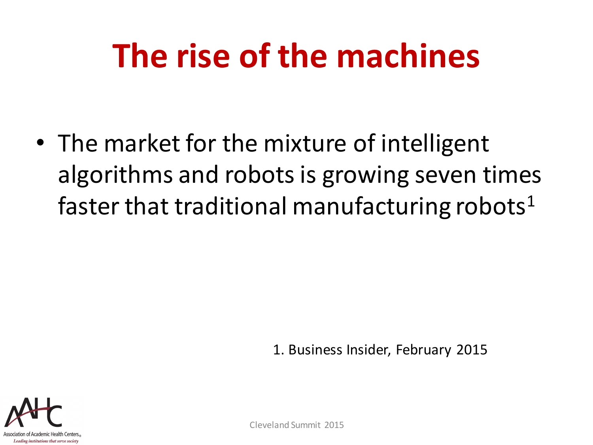## **The rise of the machines**

• The market for the mixture of intelligent algorithms and robots is growing seven times faster that traditional manufacturing robots<sup>1</sup>

1. Business Insider, February 2015

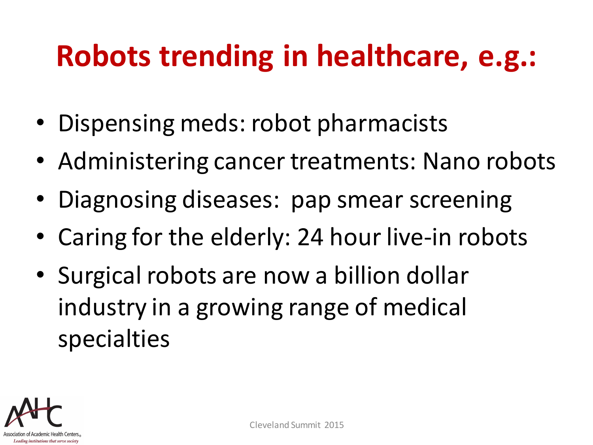#### **Robots trending in healthcare, e.g.:**

- Dispensing meds: robot pharmacists
- Administering cancer treatments: Nano robots
- Diagnosing diseases: pap smear screening
- Caring for the elderly: 24 hour live-in robots
- Surgical robots are now a billion dollar industry in a growing range of medical specialties

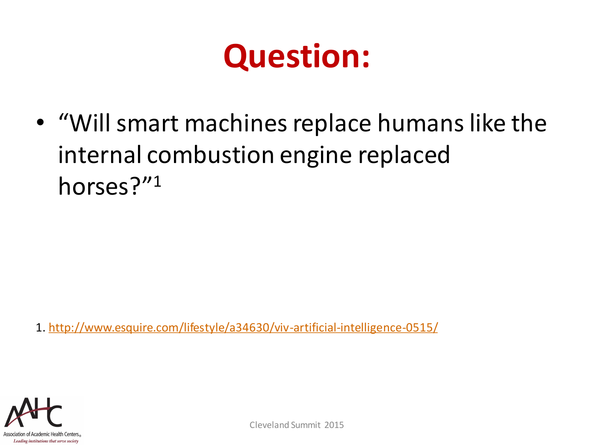### **Question:**

• "Will smart machines replace humans like the internal combustion engine replaced horses?"<sup>1</sup>

1. <http://www.esquire.com/lifestyle/a34630/viv-artificial-intelligence-0515/>

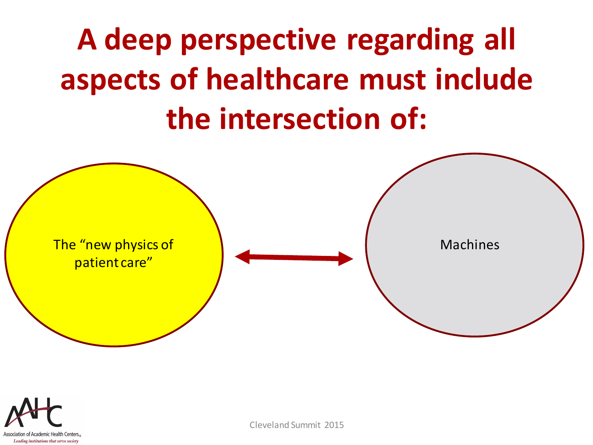## **A deep perspective regarding all aspects of healthcare must include the intersection of:**



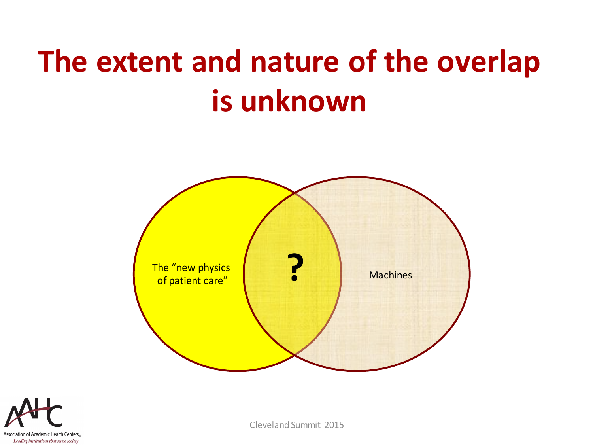### **The extent and nature of the overlap is unknown**



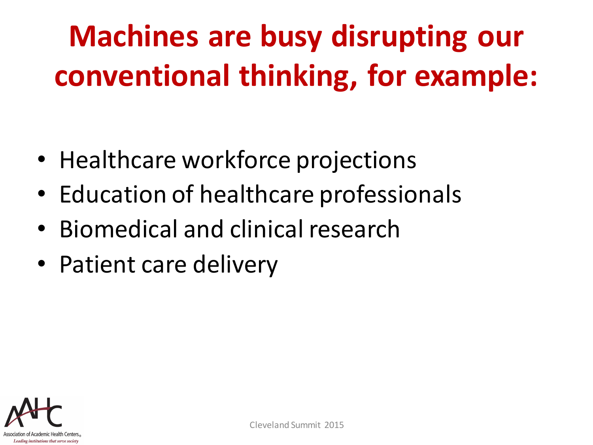## **Machines are busy disrupting our conventional thinking, for example:**

- Healthcare workforce projections
- Education of healthcare professionals
- Biomedical and clinical research
- Patient care delivery

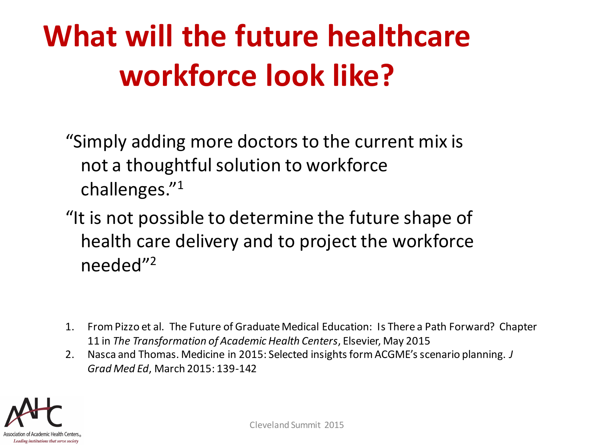### **What will the future healthcare workforce look like?**

"Simply adding more doctors to the current mix is not a thoughtful solution to workforce challenges."<sup>1</sup>

"It is not possible to determine the future shape of health care delivery and to project the workforce needed"<sup>2</sup>

- 1. From Pizzo et al. The Future of Graduate Medical Education: Is There a Path Forward? Chapter 11 in *The Transformation of Academic Health Centers*, Elsevier, May 2015
- 2. Nasca and Thomas. Medicine in 2015: Selected insights form ACGME's scenario planning. *J Grad Med Ed*, March 2015: 139-142

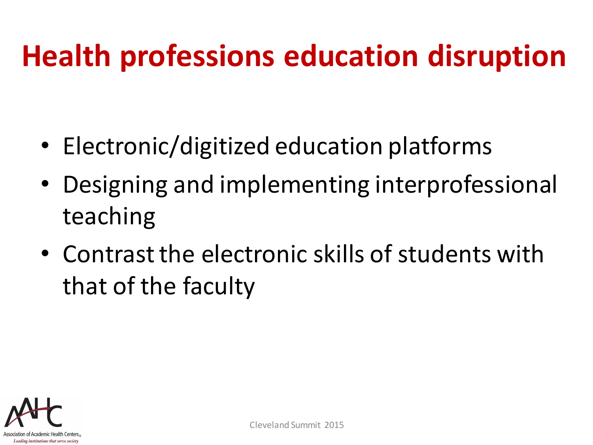#### **Health professions education disruption**

- Electronic/digitized education platforms
- Designing and implementing interprofessional teaching
- Contrast the electronic skills of students with that of the faculty

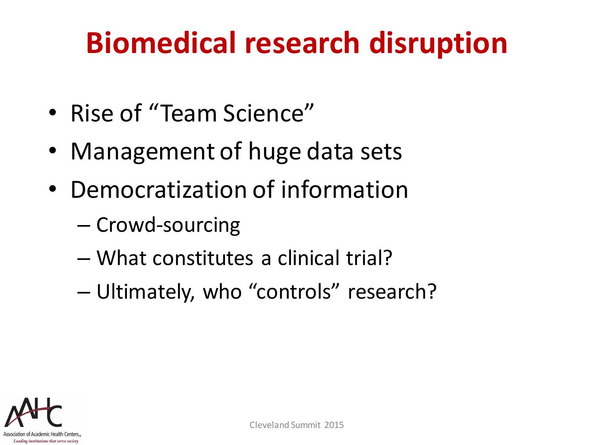#### **Biomedical research disruption**

- Rise of "Team Science"
- Management of huge data sets
- Democratization of information
	- Crowd-sourcing
	- What constitutes a clinical trial?
	- Ultimately, who "controls" research?

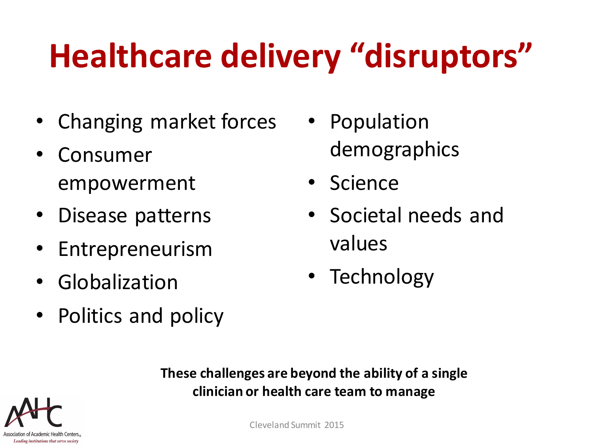## **Healthcare delivery "disruptors"**

- Changing market forces
- Consumer empowerment
- Disease patterns
- Entrepreneurism
- Globalization
- Politics and policy
- Population demographics
- Science
- Societal needs and values
- Technology

**These challenges are beyond the ability of a single clinician or health care team to manage**

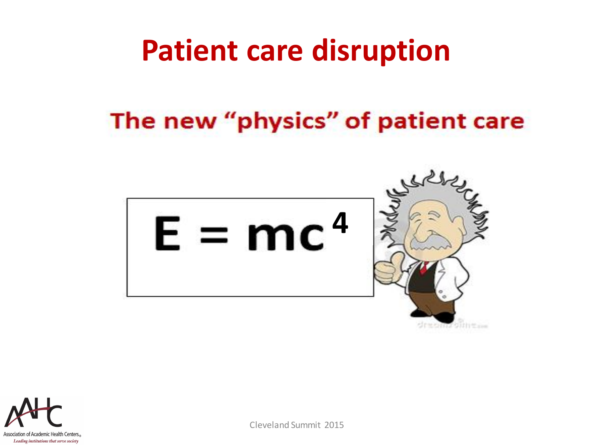#### **Patient care disruption**

#### The new "physics" of patient care



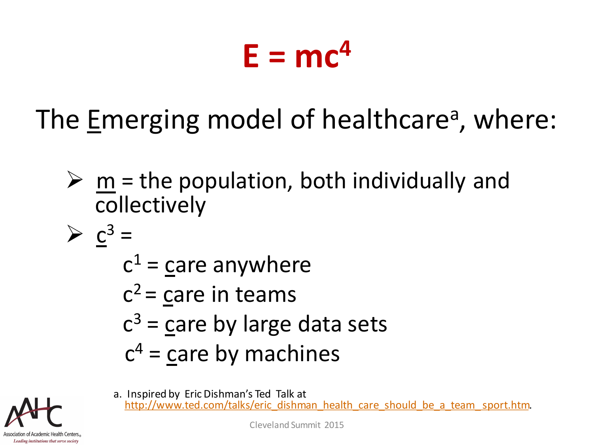## $E = mc^4$

The Emerging model of healthcare<sup>a</sup>, where:

- $\triangleright$  m = the population, both individually and collectively
- $\geq C^3$  =
	- $c^1$  = care anywhere
	- $c^2$  = care in teams
	- $c^3$  = care by large data sets
	- $c<sup>4</sup>$  = care by machines
- Association of Academic Health Center Leading institutions that serve society

a. Inspired by Eric Dishman's Ted Talk at http://www.ted.com/talks/eric\_dishman\_health\_care\_should\_be\_a\_team\_sport.htm.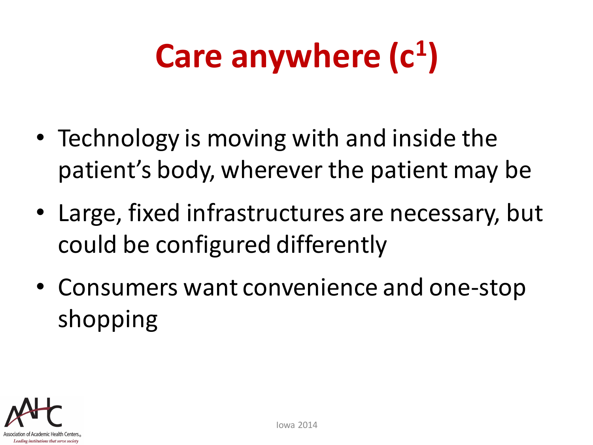# **Care anywhere (c<sup>1</sup> )**

- Technology is moving with and inside the patient's body, wherever the patient may be
- Large, fixed infrastructures are necessary, but could be configured differently
- Consumers want convenience and one-stop shopping

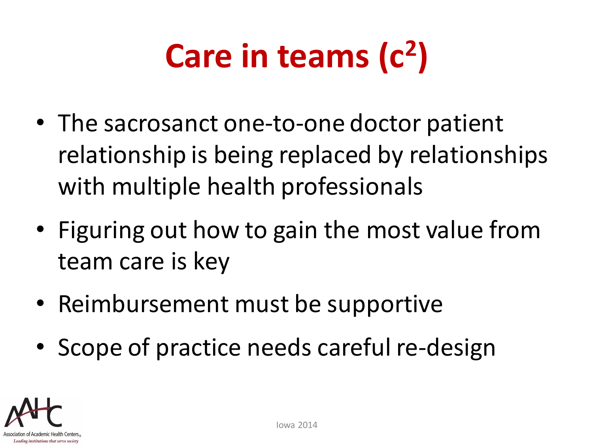# **Care in teams (c 2 )**

- The sacrosanct one-to-one doctor patient relationship is being replaced by relationships with multiple health professionals
- Figuring out how to gain the most value from team care is key
- Reimbursement must be supportive
- Scope of practice needs careful re-design

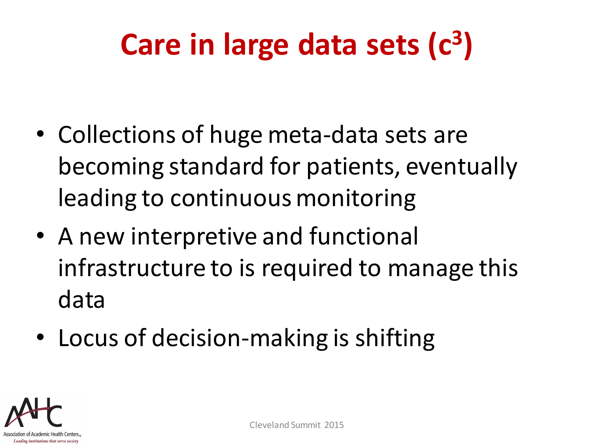### **Care in large data sets (c 3 )**

- Collections of huge meta-data sets are becoming standard for patients, eventually leading to continuous monitoring
- A new interpretive and functional infrastructure to is required to manage this data
- Locus of decision-making is shifting

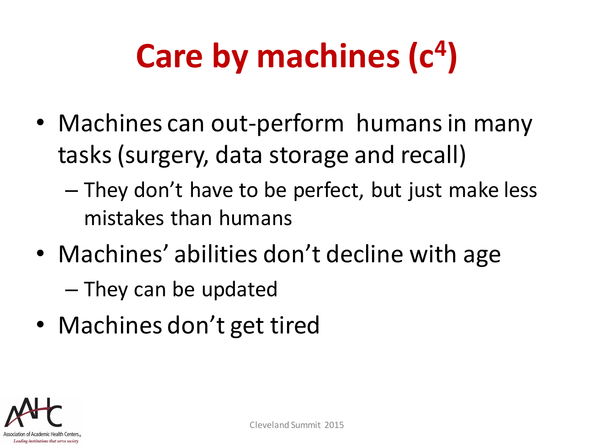# **Care by machines (c 4 )**

- Machines can out-perform humans in many tasks (surgery, data storage and recall)
	- They don't have to be perfect, but just make less mistakes than humans
- Machines' abilities don't decline with age – They can be updated
- Machines don't get tired

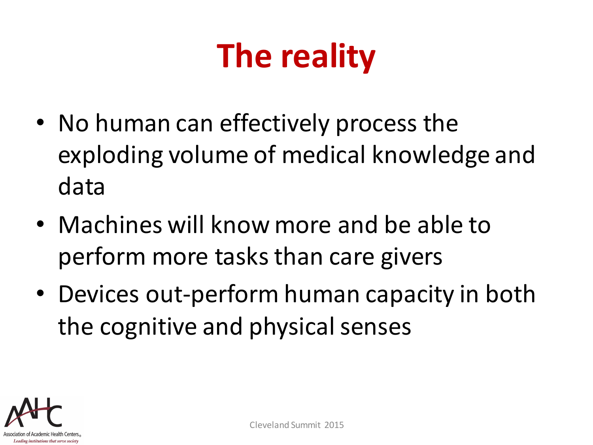## **The reality**

- No human can effectively process the exploding volume of medical knowledge and data
- Machines will know more and be able to perform more tasks than care givers
- Devices out-perform human capacity in both the cognitive and physical senses

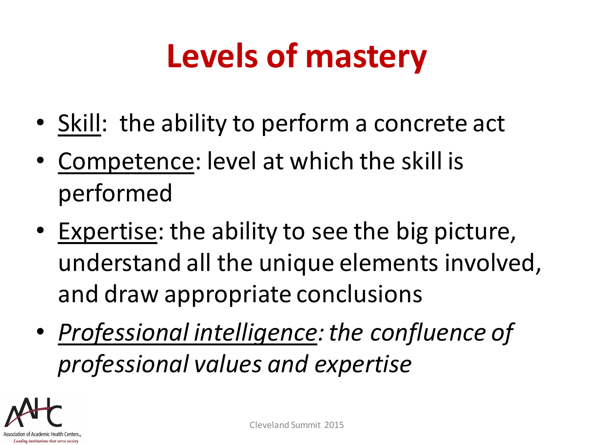## **Levels of mastery**

- Skill: the ability to perform a concrete act
- Competence: level at which the skill is performed
- Expertise: the ability to see the big picture, understand all the unique elements involved, and draw appropriate conclusions
- *Professional intelligence: the confluence of professional values and expertise*

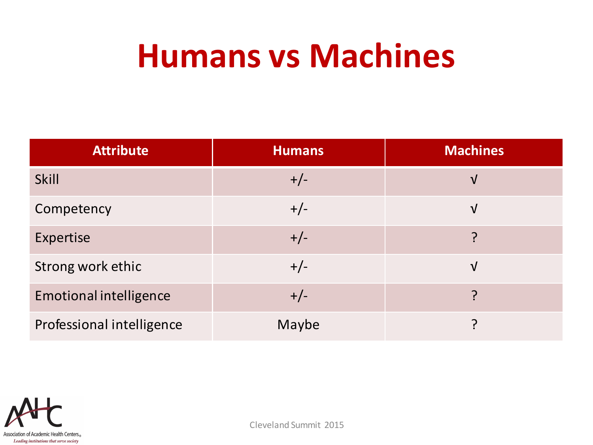#### **Humans vs Machines**

| <b>Attribute</b>              | <b>Humans</b> | <b>Machines</b> |
|-------------------------------|---------------|-----------------|
| <b>Skill</b>                  | $+/-$         | $\sqrt{ }$      |
| Competency                    | $+/-$         | $\sqrt{}$       |
| <b>Expertise</b>              | $+/-$         | ၣ               |
| Strong work ethic             | $+/-$         | $\sqrt{}$       |
| <b>Emotional intelligence</b> | $+/-$         | 2               |
| Professional intelligence     | Maybe         | ำ               |

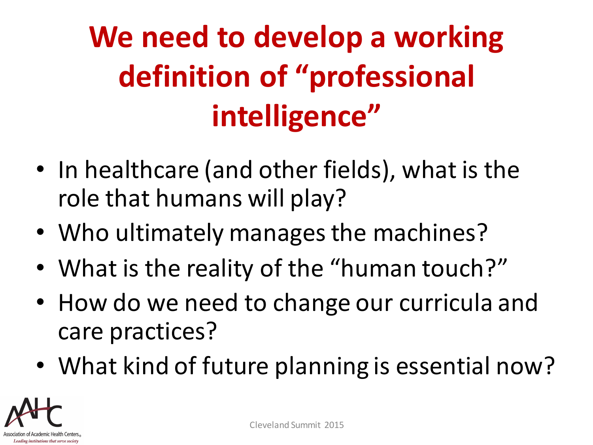## **We need to develop a working definition of "professional intelligence"**

- In healthcare (and other fields), what is the role that humans will play?
- Who ultimately manages the machines?
- What is the reality of the "human touch?"
- How do we need to change our curricula and care practices?
- What kind of future planning is essential now?

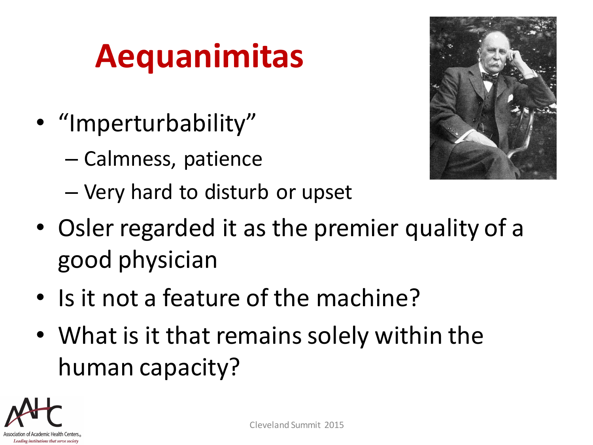## **Aequanimitas**

- "Imperturbability"
	- Calmness, patience
	- Very hard to disturb or upset
- Osler regarded it as the premier quality of a good physician
- Is it not a feature of the machine?
- What is it that remains solely within the human capacity?



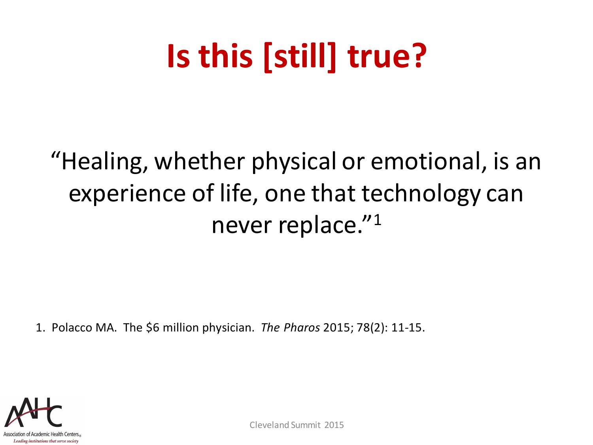## **Is this [still] true?**

#### "Healing, whether physical or emotional, is an experience of life, one that technology can never replace."<sup>1</sup>

1. Polacco MA. The \$6 million physician. *The Pharos* 2015; 78(2): 11-15.

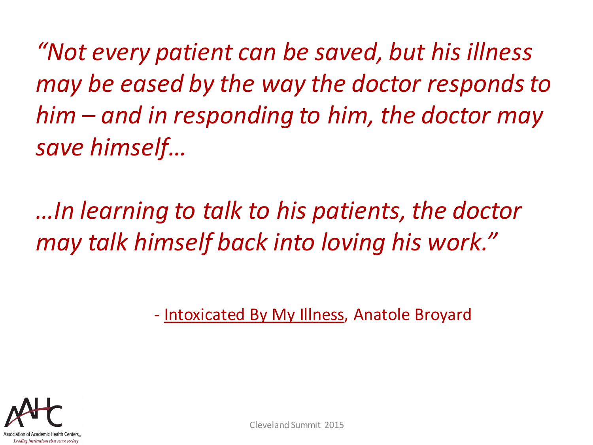*"Not every patient can be saved, but his illness may be eased by the way the doctor responds to him – and in responding to him, the doctor may save himself…*

*…In learning to talk to his patients, the doctor may talk himself back into loving his work."*

- Intoxicated By My Illness, Anatole Broyard

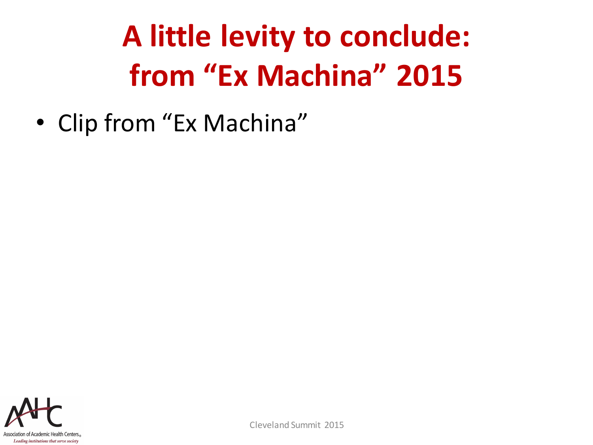## **A little levity to conclude: from "Ex Machina" 2015**

• Clip from "Ex Machina"